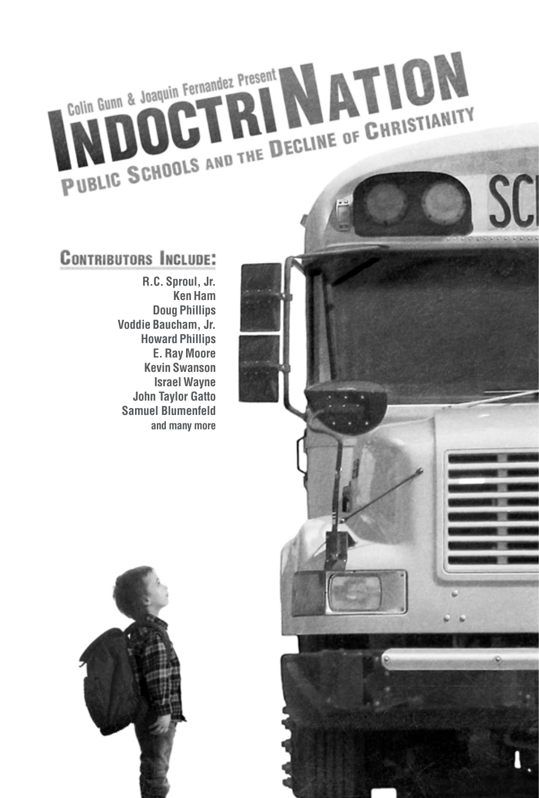# **CONTRIBUTORS INCLUDE:**

**R.C. Sproul, Jr. Ken Ham Doug Phillips Voddie Baucham, Jr. Howard Phillips E. Ray Moore Kevin Swanson Israel Wayne John Taylor Gatto Samuel Blumenfeld and many more**

Colin Gunn & Joaquin Fernandez Present





ATION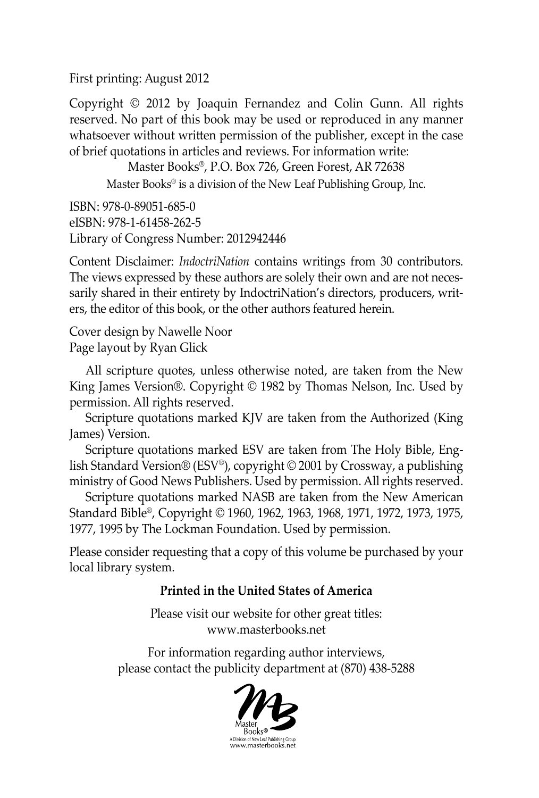First printing: August 2012

Copyright © 2012 by Joaquin Fernandez and Colin Gunn. All rights reserved. No part of this book may be used or reproduced in any manner whatsoever without written permission of the publisher, except in the case of brief quotations in articles and reviews. For information write:

Master Books®, P.O. Box 726, Green Forest, AR 72638 Master Books® is a division of the New Leaf Publishing Group, Inc.

ISBN: 978-0-89051-685-0 eISBN: 978-1-61458-262-5 Library of Congress Number: 2012942446

Content Disclaimer: *IndoctriNation* contains writings from 30 contributors. The views expressed by these authors are solely their own and are not necessarily shared in their entirety by IndoctriNation's directors, producers, writers, the editor of this book, or the other authors featured herein.

Cover design by Nawelle Noor Page layout by Ryan Glick

All scripture quotes, unless otherwise noted, are taken from the New King James Version®. Copyright © 1982 by Thomas Nelson, Inc. Used by permission. All rights reserved.

Scripture quotations marked KJV are taken from the Authorized (King James) Version.

Scripture quotations marked ESV are taken from The Holy Bible, English Standard Version® (ESV®), copyright © 2001 by Crossway, a publishing ministry of Good News Publishers. Used by permission. All rights reserved.

Scripture quotations marked NASB are taken from the New American Standard Bible®, Copyright © 1960, 1962, 1963, 1968, 1971, 1972, 1973, 1975, 1977, 1995 by The Lockman Foundation. Used by permission.

Please consider requesting that a copy of this volume be purchased by your local library system.

#### **Printed in the United States of America**

Please visit our website for other great titles: www.masterbooks.net

For information regarding author interviews, please contact the publicity department at (870) 438-5288

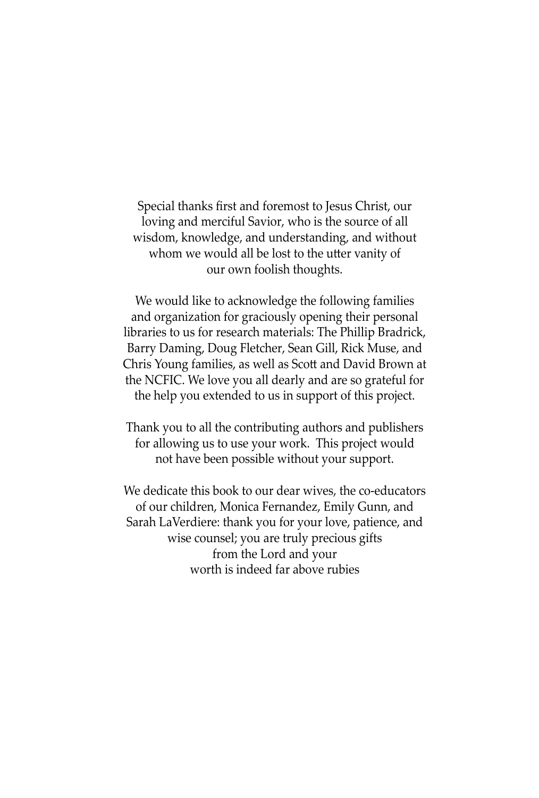Special thanks first and foremost to Jesus Christ, our loving and merciful Savior, who is the source of all wisdom, knowledge, and understanding, and without whom we would all be lost to the utter vanity of our own foolish thoughts.

We would like to acknowledge the following families and organization for graciously opening their personal libraries to us for research materials: The Phillip Bradrick, Barry Daming, Doug Fletcher, Sean Gill, Rick Muse, and Chris Young families, as well as Scott and David Brown at the NCFIC. We love you all dearly and are so grateful for the help you extended to us in support of this project.

Thank you to all the contributing authors and publishers for allowing us to use your work. This project would not have been possible without your support.

We dedicate this book to our dear wives, the co-educators of our children, Monica Fernandez, Emily Gunn, and Sarah LaVerdiere: thank you for your love, patience, and wise counsel; you are truly precious gifts from the Lord and your worth is indeed far above rubies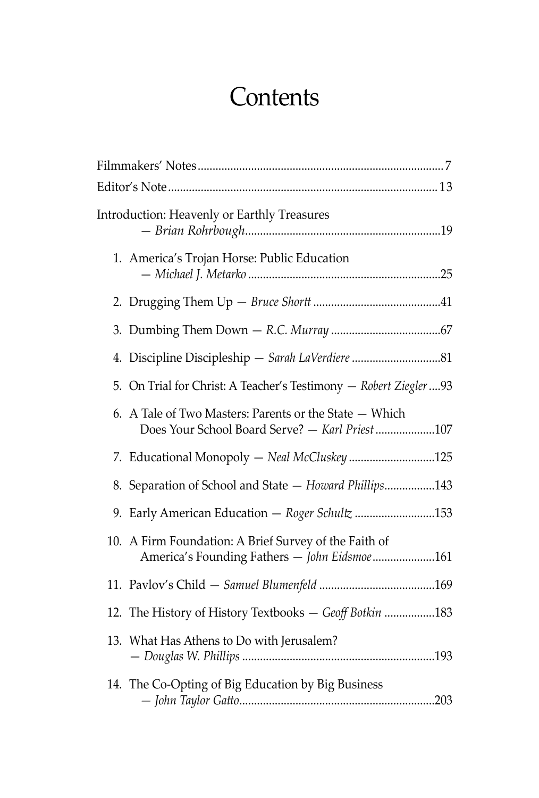# **Contents**

| Introduction: Heavenly or Earthly Treasures                                                                  |  |
|--------------------------------------------------------------------------------------------------------------|--|
| 1. America's Trojan Horse: Public Education                                                                  |  |
|                                                                                                              |  |
|                                                                                                              |  |
|                                                                                                              |  |
| 5. On Trial for Christ: A Teacher's Testimony - Robert Ziegler  93                                           |  |
| A Tale of Two Masters: Parents or the State - Which<br>6.<br>Does Your School Board Serve? - Karl Priest 107 |  |
| 7. Educational Monopoly - Neal McCluskey125                                                                  |  |
| 8. Separation of School and State - Howard Phillips143                                                       |  |
| 9. Early American Education - Roger Schultz 153                                                              |  |
| 10. A Firm Foundation: A Brief Survey of the Faith of<br>America's Founding Fathers - John Eidsmoe161        |  |
|                                                                                                              |  |
| 12. The History of History Textbooks - Geoff Botkin 183                                                      |  |
| 13. What Has Athens to Do with Jerusalem?                                                                    |  |
| 14. The Co-Opting of Big Education by Big Business                                                           |  |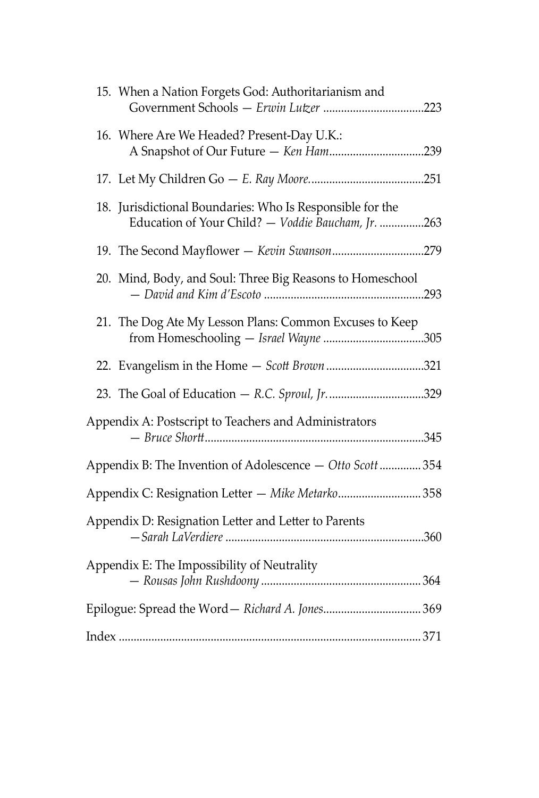| 15. When a Nation Forgets God: Authoritarianism and                                                             |      |
|-----------------------------------------------------------------------------------------------------------------|------|
| 16. Where Are We Headed? Present-Day U.K.:                                                                      |      |
|                                                                                                                 |      |
| 18. Jurisdictional Boundaries: Who Is Responsible for the<br>Education of Your Child? - Voddie Baucham, Jr. 263 |      |
| 19. The Second Mayflower - Kevin Swanson279                                                                     |      |
| 20. Mind, Body, and Soul: Three Big Reasons to Homeschool                                                       | .293 |
| 21. The Dog Ate My Lesson Plans: Common Excuses to Keep                                                         |      |
| 22. Evangelism in the Home - Scott Brown 321                                                                    |      |
| 23. The Goal of Education - R.C. Sproul, Jr. 329                                                                |      |
| Appendix A: Postscript to Teachers and Administrators                                                           |      |
| Appendix B: The Invention of Adolescence - Otto Scott  354                                                      |      |
| Appendix C: Resignation Letter - Mike Metarko358                                                                |      |
| Appendix D: Resignation Letter and Letter to Parents                                                            |      |
| Appendix E: The Impossibility of Neutrality                                                                     |      |
| Epilogue: Spread the Word- Richard A. Jones 369                                                                 |      |
|                                                                                                                 |      |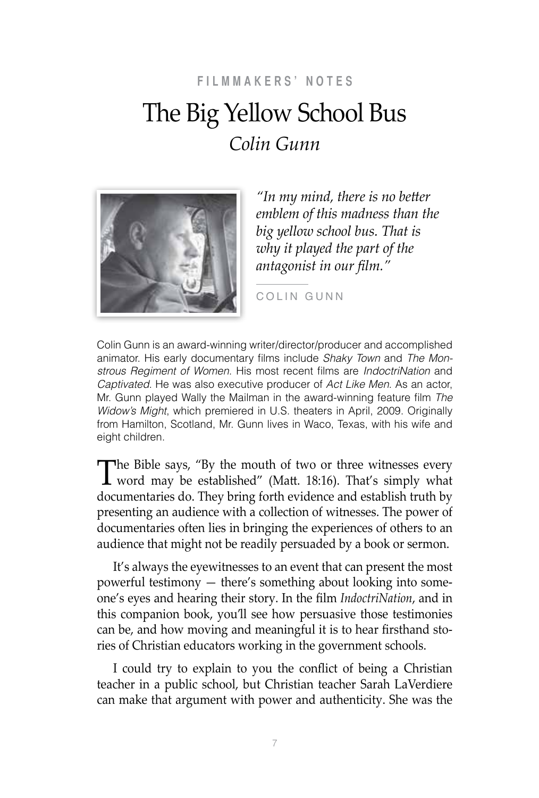## The Big Yellow School Bus *Colin Gunn* **FILMMAKERS' NOTES**



*"In my mind, there is no better emblem of this madness than the big yellow school bus. That is why it played the part of the antagonist in our film."*

COLIN GUNN

Colin Gunn is an award-winning writer/director/producer and accomplished animator. His early documentary films include Shaky Town and The Monstrous Regiment of Women. His most recent films are IndoctriNation and Captivated. He was also executive producer of Act Like Men. As an actor, Mr. Gunn played Wally the Mailman in the award-winning feature film The Widow's Might, which premiered in U.S. theaters in April, 2009. Originally from Hamilton, Scotland, Mr. Gunn lives in Waco, Texas, with his wife and eight children.

The Bible says, "By the mouth of two or three witnesses every word may be established" (Matt. 18:16). That's simply what documentaries do. They bring forth evidence and establish truth by presenting an audience with a collection of witnesses. The power of documentaries often lies in bringing the experiences of others to an audience that might not be readily persuaded by a book or sermon.

It's always the eyewitnesses to an event that can present the most powerful testimony — there's something about looking into someone's eyes and hearing their story. In the film *IndoctriNation*, and in this companion book, you'll see how persuasive those testimonies can be, and how moving and meaningful it is to hear firsthand stories of Christian educators working in the government schools.

I could try to explain to you the conflict of being a Christian teacher in a public school, but Christian teacher Sarah LaVerdiere can make that argument with power and authenticity. She was the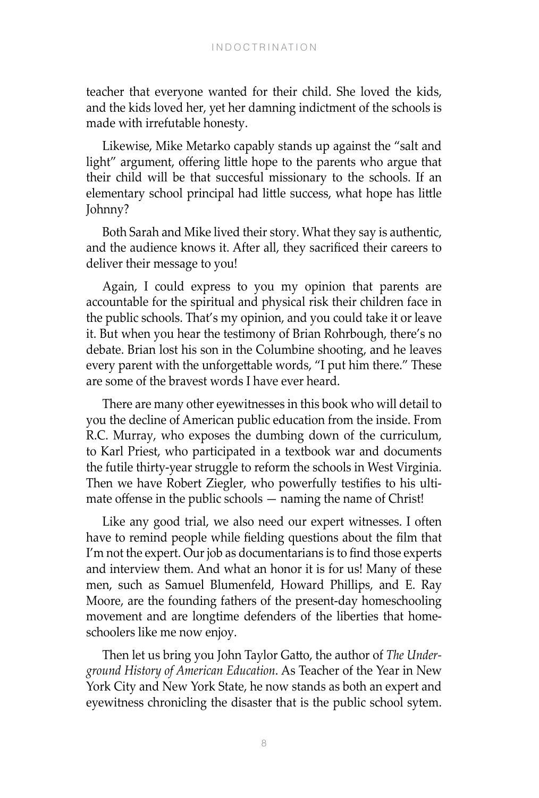teacher that everyone wanted for their child. She loved the kids, and the kids loved her, yet her damning indictment of the schools is made with irrefutable honesty.

Likewise, Mike Metarko capably stands up against the "salt and light" argument, offering little hope to the parents who argue that their child will be that succesful missionary to the schools. If an elementary school principal had little success, what hope has little Johnny?

Both Sarah and Mike lived their story. What they say is authentic, and the audience knows it. After all, they sacrificed their careers to deliver their message to you!

Again, I could express to you my opinion that parents are accountable for the spiritual and physical risk their children face in the public schools. That's my opinion, and you could take it or leave it. But when you hear the testimony of Brian Rohrbough, there's no debate. Brian lost his son in the Columbine shooting, and he leaves every parent with the unforgettable words, "I put him there." These are some of the bravest words I have ever heard.

There are many other eyewitnesses in this book who will detail to you the decline of American public education from the inside. From R.C. Murray, who exposes the dumbing down of the curriculum, to Karl Priest, who participated in a textbook war and documents the futile thirty-year struggle to reform the schools in West Virginia. Then we have Robert Ziegler, who powerfully testifies to his ultimate offense in the public schools — naming the name of Christ!

Like any good trial, we also need our expert witnesses. I often have to remind people while fielding questions about the film that I'm not the expert. Our job as documentarians is to find those experts and interview them. And what an honor it is for us! Many of these men, such as Samuel Blumenfeld, Howard Phillips, and E. Ray Moore, are the founding fathers of the present-day homeschooling movement and are longtime defenders of the liberties that homeschoolers like me now enjoy.

Then let us bring you John Taylor Gatto, the author of *The Underground History of American Education*. As Teacher of the Year in New York City and New York State, he now stands as both an expert and eyewitness chronicling the disaster that is the public school sytem.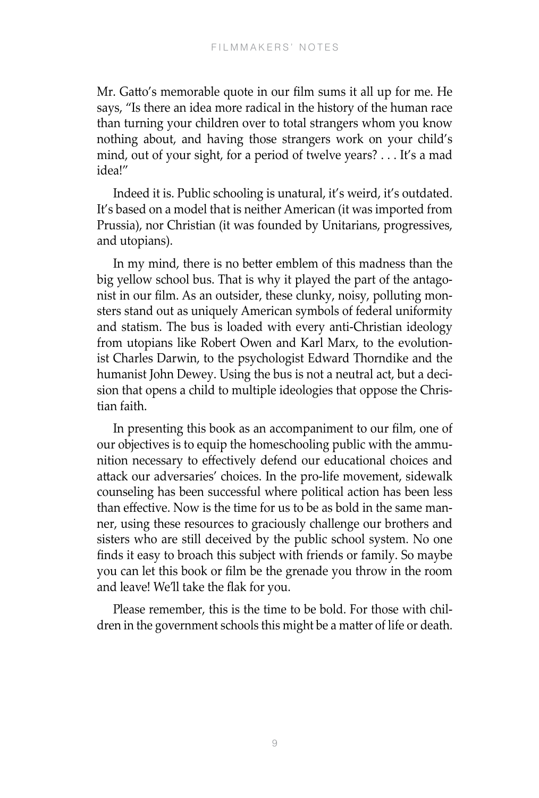Mr. Gatto's memorable quote in our film sums it all up for me. He says, "Is there an idea more radical in the history of the human race than turning your children over to total strangers whom you know nothing about, and having those strangers work on your child's mind, out of your sight, for a period of twelve years? . . . It's a mad idea!"

Indeed it is. Public schooling is unatural, it's weird, it's outdated. It's based on a model that is neither American (it was imported from Prussia), nor Christian (it was founded by Unitarians, progressives, and utopians).

In my mind, there is no better emblem of this madness than the big yellow school bus. That is why it played the part of the antagonist in our film. As an outsider, these clunky, noisy, polluting monsters stand out as uniquely American symbols of federal uniformity and statism. The bus is loaded with every anti-Christian ideology from utopians like Robert Owen and Karl Marx, to the evolutionist Charles Darwin, to the psychologist Edward Thorndike and the humanist John Dewey. Using the bus is not a neutral act, but a decision that opens a child to multiple ideologies that oppose the Christian faith.

In presenting this book as an accompaniment to our film, one of our objectives is to equip the homeschooling public with the ammunition necessary to effectively defend our educational choices and attack our adversaries' choices. In the pro-life movement, sidewalk counseling has been successful where political action has been less than effective. Now is the time for us to be as bold in the same manner, using these resources to graciously challenge our brothers and sisters who are still deceived by the public school system. No one finds it easy to broach this subject with friends or family. So maybe you can let this book or film be the grenade you throw in the room and leave! We'll take the flak for you.

Please remember, this is the time to be bold. For those with children in the government schools this might be a matter of life or death.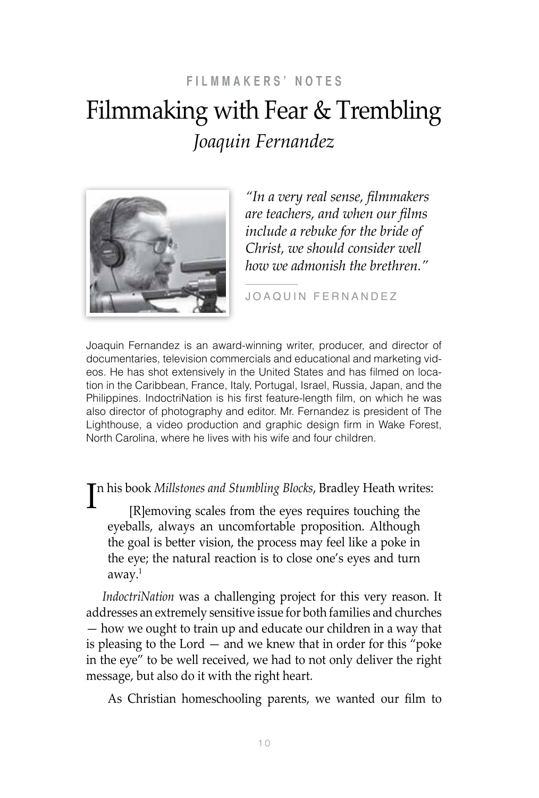## Filmmaking with Fear & Trembling *Joaquin Fernandez* **FILMMAKERS' NOTES**



*"In a very real sense, filmmakers are teachers, and when our films include a rebuke for the bride of Christ, we should consider well how we admonish the brethren."*

JOAQUIN FERNANDEZ

Joaquin Fernandez is an award-winning writer, producer, and director of documentaries, television commercials and educational and marketing videos. He has shot extensively in the United States and has filmed on location in the Caribbean, France, Italy, Portugal, Israel, Russia, Japan, and the Philippines. IndoctriNation is his first feature-length film, on which he was also director of photography and editor. Mr. Fernandez is president of The Lighthouse, a video production and graphic design firm in Wake Forest, North Carolina, where he lives with his wife and four children.

In his book *Millstones and Stumbling Blocks*, Bradley Heath writes:<br>
[Rlemoving scales from the eves requires touching the [R]emoving scales from the eyes requires touching the eyeballs, always an uncomfortable proposition. Although the goal is better vision, the process may feel like a poke in the eye; the natural reaction is to close one's eyes and turn away. $1$ 

*IndoctriNation* was a challenging project for this very reason. It addresses an extremely sensitive issue for both families and churches — how we ought to train up and educate our children in a way that is pleasing to the Lord — and we knew that in order for this "poke in the eye" to be well received, we had to not only deliver the right message, but also do it with the right heart.

As Christian homeschooling parents, we wanted our film to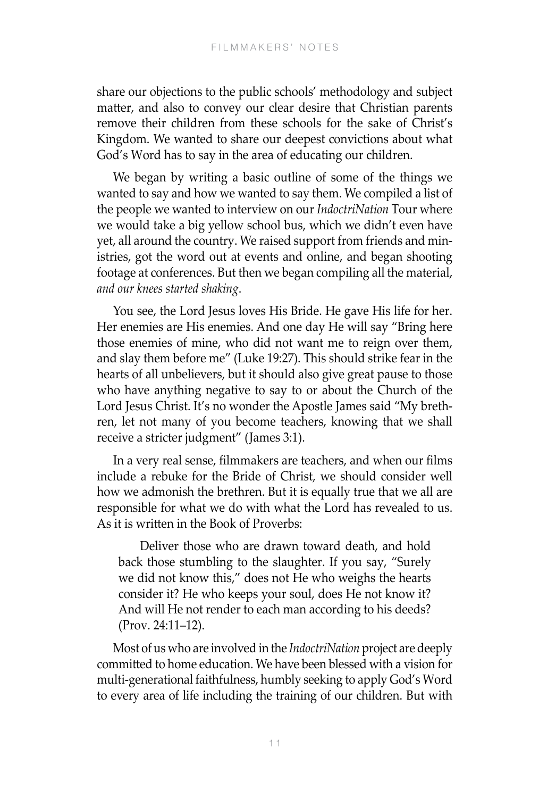share our objections to the public schools' methodology and subject matter, and also to convey our clear desire that Christian parents remove their children from these schools for the sake of Christ's Kingdom. We wanted to share our deepest convictions about what God's Word has to say in the area of educating our children.

We began by writing a basic outline of some of the things we wanted to say and how we wanted to say them. We compiled a list of the people we wanted to interview on our *IndoctriNation* Tour where we would take a big yellow school bus, which we didn't even have yet, all around the country. We raised support from friends and ministries, got the word out at events and online, and began shooting footage at conferences. But then we began compiling all the material, *and our knees started shaking*.

You see, the Lord Jesus loves His Bride. He gave His life for her. Her enemies are His enemies. And one day He will say "Bring here those enemies of mine, who did not want me to reign over them, and slay them before me" (Luke 19:27). This should strike fear in the hearts of all unbelievers, but it should also give great pause to those who have anything negative to say to or about the Church of the Lord Jesus Christ. It's no wonder the Apostle James said "My brethren, let not many of you become teachers, knowing that we shall receive a stricter judgment" (James 3:1).

In a very real sense, filmmakers are teachers, and when our films include a rebuke for the Bride of Christ, we should consider well how we admonish the brethren. But it is equally true that we all are responsible for what we do with what the Lord has revealed to us. As it is written in the Book of Proverbs:

Deliver those who are drawn toward death, and hold back those stumbling to the slaughter. If you say, "Surely we did not know this," does not He who weighs the hearts consider it? He who keeps your soul, does He not know it? And will He not render to each man according to his deeds? (Prov. 24:11–12).

Most of us who are involved in the *IndoctriNation* project are deeply committed to home education. We have been blessed with a vision for multi-generational faithfulness, humbly seeking to apply God's Word to every area of life including the training of our children. But with